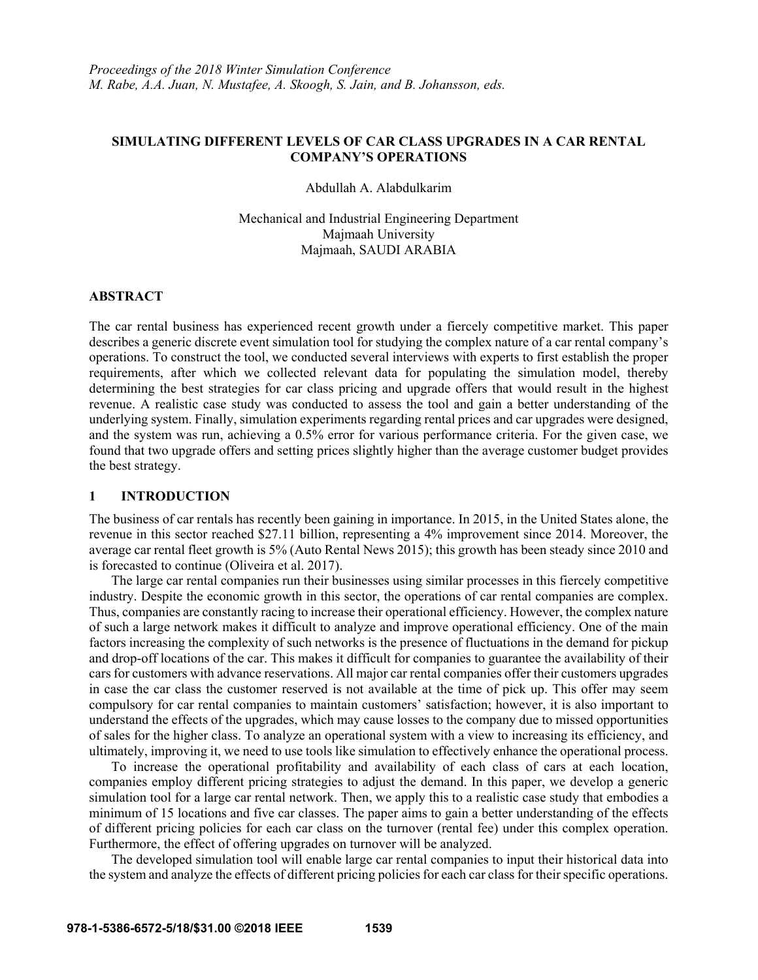### **SIMULATING DIFFERENT LEVELS OF CAR CLASS UPGRADES IN A CAR RENTAL COMPANY'S OPERATIONS**

Abdullah A. Alabdulkarim

Mechanical and Industrial Engineering Department Majmaah University Majmaah, SAUDI ARABIA

#### **ABSTRACT**

The car rental business has experienced recent growth under a fiercely competitive market. This paper describes a generic discrete event simulation tool for studying the complex nature of a car rental company's operations. To construct the tool, we conducted several interviews with experts to first establish the proper requirements, after which we collected relevant data for populating the simulation model, thereby determining the best strategies for car class pricing and upgrade offers that would result in the highest revenue. A realistic case study was conducted to assess the tool and gain a better understanding of the underlying system. Finally, simulation experiments regarding rental prices and car upgrades were designed, and the system was run, achieving a 0.5% error for various performance criteria. For the given case, we found that two upgrade offers and setting prices slightly higher than the average customer budget provides the best strategy.

#### **1 INTRODUCTION**

The business of car rentals has recently been gaining in importance. In 2015, in the United States alone, the revenue in this sector reached \$27.11 billion, representing a 4% improvement since 2014. Moreover, the average car rental fleet growth is 5% (Auto Rental News 2015); this growth has been steady since 2010 and is forecasted to continue (Oliveira et al. 2017).

 The large car rental companies run their businesses using similar processes in this fiercely competitive industry. Despite the economic growth in this sector, the operations of car rental companies are complex. Thus, companies are constantly racing to increase their operational efficiency. However, the complex nature of such a large network makes it difficult to analyze and improve operational efficiency. One of the main factors increasing the complexity of such networks is the presence of fluctuations in the demand for pickup and drop-off locations of the car. This makes it difficult for companies to guarantee the availability of their cars for customers with advance reservations. All major car rental companies offer their customers upgrades in case the car class the customer reserved is not available at the time of pick up. This offer may seem compulsory for car rental companies to maintain customers' satisfaction; however, it is also important to understand the effects of the upgrades, which may cause losses to the company due to missed opportunities of sales for the higher class. To analyze an operational system with a view to increasing its efficiency, and ultimately, improving it, we need to use tools like simulation to effectively enhance the operational process.

 To increase the operational profitability and availability of each class of cars at each location, companies employ different pricing strategies to adjust the demand. In this paper, we develop a generic simulation tool for a large car rental network. Then, we apply this to a realistic case study that embodies a minimum of 15 locations and five car classes. The paper aims to gain a better understanding of the effects of different pricing policies for each car class on the turnover (rental fee) under this complex operation. Furthermore, the effect of offering upgrades on turnover will be analyzed.

 The developed simulation tool will enable large car rental companies to input their historical data into the system and analyze the effects of different pricing policies for each car class for their specific operations.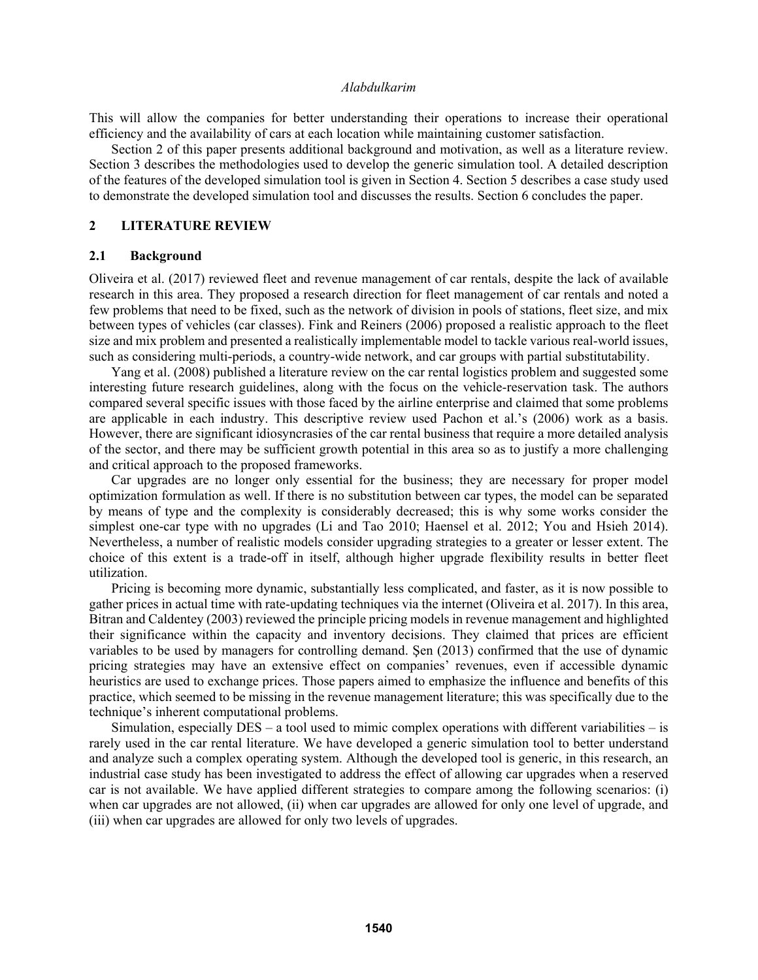This will allow the companies for better understanding their operations to increase their operational efficiency and the availability of cars at each location while maintaining customer satisfaction.

 Section 2 of this paper presents additional background and motivation, as well as a literature review. Section 3 describes the methodologies used to develop the generic simulation tool. A detailed description of the features of the developed simulation tool is given in Section 4. Section 5 describes a case study used to demonstrate the developed simulation tool and discusses the results. Section 6 concludes the paper.

#### **2 LITERATURE REVIEW**

#### **2.1 Background**

Oliveira et al. (2017) reviewed fleet and revenue management of car rentals, despite the lack of available research in this area. They proposed a research direction for fleet management of car rentals and noted a few problems that need to be fixed, such as the network of division in pools of stations, fleet size, and mix between types of vehicles (car classes). Fink and Reiners (2006) proposed a realistic approach to the fleet size and mix problem and presented a realistically implementable model to tackle various real-world issues, such as considering multi-periods, a country-wide network, and car groups with partial substitutability.

Yang et al. (2008) published a literature review on the car rental logistics problem and suggested some interesting future research guidelines, along with the focus on the vehicle-reservation task. The authors compared several specific issues with those faced by the airline enterprise and claimed that some problems are applicable in each industry. This descriptive review used Pachon et al.'s (2006) work as a basis. However, there are significant idiosyncrasies of the car rental business that require a more detailed analysis of the sector, and there may be sufficient growth potential in this area so as to justify a more challenging and critical approach to the proposed frameworks.

Car upgrades are no longer only essential for the business; they are necessary for proper model optimization formulation as well. If there is no substitution between car types, the model can be separated by means of type and the complexity is considerably decreased; this is why some works consider the simplest one-car type with no upgrades (Li and Tao 2010; Haensel et al. 2012; You and Hsieh 2014). Nevertheless, a number of realistic models consider upgrading strategies to a greater or lesser extent. The choice of this extent is a trade-off in itself, although higher upgrade flexibility results in better fleet utilization.

Pricing is becoming more dynamic, substantially less complicated, and faster, as it is now possible to gather prices in actual time with rate-updating techniques via the internet (Oliveira et al. 2017). In this area, Bitran and Caldentey (2003) reviewed the principle pricing models in revenue management and highlighted their significance within the capacity and inventory decisions. They claimed that prices are efficient variables to be used by managers for controlling demand. Şen (2013) confirmed that the use of dynamic pricing strategies may have an extensive effect on companies' revenues, even if accessible dynamic heuristics are used to exchange prices. Those papers aimed to emphasize the influence and benefits of this practice, which seemed to be missing in the revenue management literature; this was specifically due to the technique's inherent computational problems.

Simulation, especially  $DES - a$  tool used to mimic complex operations with different variabilities  $-$  is rarely used in the car rental literature. We have developed a generic simulation tool to better understand and analyze such a complex operating system. Although the developed tool is generic, in this research, an industrial case study has been investigated to address the effect of allowing car upgrades when a reserved car is not available. We have applied different strategies to compare among the following scenarios: (i) when car upgrades are not allowed, (ii) when car upgrades are allowed for only one level of upgrade, and (iii) when car upgrades are allowed for only two levels of upgrades.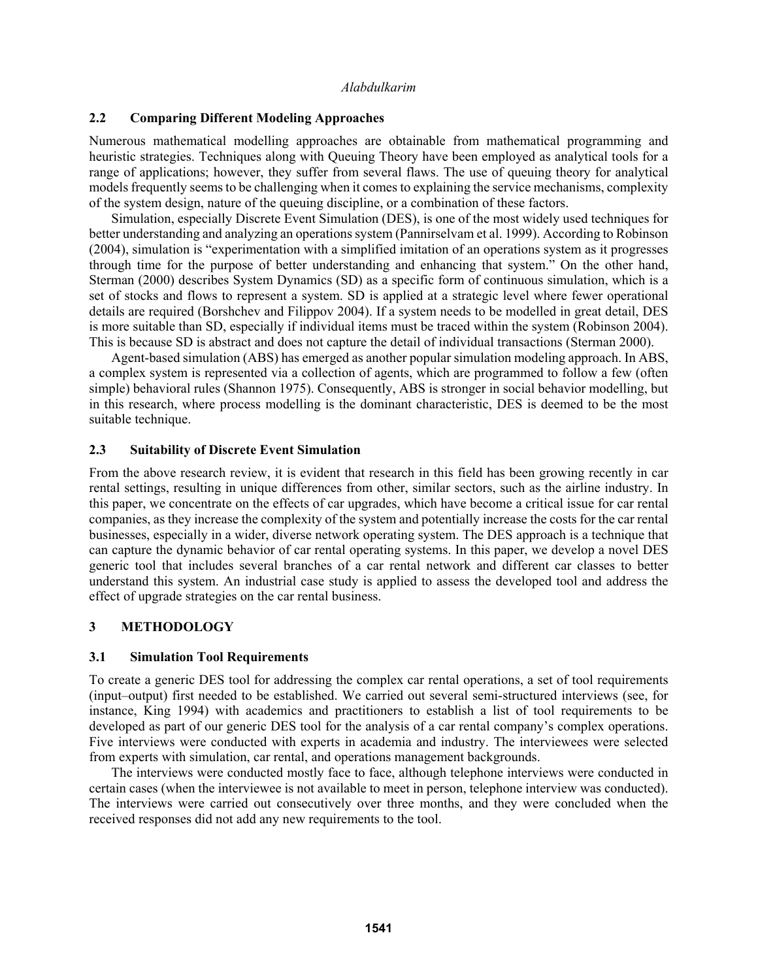### **2.2 Comparing Different Modeling Approaches**

Numerous mathematical modelling approaches are obtainable from mathematical programming and heuristic strategies. Techniques along with Queuing Theory have been employed as analytical tools for a range of applications; however, they suffer from several flaws. The use of queuing theory for analytical models frequently seems to be challenging when it comes to explaining the service mechanisms, complexity of the system design, nature of the queuing discipline, or a combination of these factors.

Simulation, especially Discrete Event Simulation (DES), is one of the most widely used techniques for better understanding and analyzing an operations system (Pannirselvam et al. 1999). According to Robinson (2004), simulation is "experimentation with a simplified imitation of an operations system as it progresses through time for the purpose of better understanding and enhancing that system." On the other hand, Sterman (2000) describes System Dynamics (SD) as a specific form of continuous simulation, which is a set of stocks and flows to represent a system. SD is applied at a strategic level where fewer operational details are required (Borshchev and Filippov 2004). If a system needs to be modelled in great detail, DES is more suitable than SD, especially if individual items must be traced within the system (Robinson 2004). This is because SD is abstract and does not capture the detail of individual transactions (Sterman 2000).

Agent-based simulation (ABS) has emerged as another popular simulation modeling approach. In ABS, a complex system is represented via a collection of agents, which are programmed to follow a few (often simple) behavioral rules (Shannon 1975). Consequently, ABS is stronger in social behavior modelling, but in this research, where process modelling is the dominant characteristic, DES is deemed to be the most suitable technique.

### **2.3 Suitability of Discrete Event Simulation**

From the above research review, it is evident that research in this field has been growing recently in car rental settings, resulting in unique differences from other, similar sectors, such as the airline industry. In this paper, we concentrate on the effects of car upgrades, which have become a critical issue for car rental companies, as they increase the complexity of the system and potentially increase the costs for the car rental businesses, especially in a wider, diverse network operating system. The DES approach is a technique that can capture the dynamic behavior of car rental operating systems. In this paper, we develop a novel DES generic tool that includes several branches of a car rental network and different car classes to better understand this system. An industrial case study is applied to assess the developed tool and address the effect of upgrade strategies on the car rental business.

# **3 METHODOLOGY**

# **3.1 Simulation Tool Requirements**

To create a generic DES tool for addressing the complex car rental operations, a set of tool requirements (input–output) first needed to be established. We carried out several semi-structured interviews (see, for instance, King 1994) with academics and practitioners to establish a list of tool requirements to be developed as part of our generic DES tool for the analysis of a car rental company's complex operations. Five interviews were conducted with experts in academia and industry. The interviewees were selected from experts with simulation, car rental, and operations management backgrounds.

The interviews were conducted mostly face to face, although telephone interviews were conducted in certain cases (when the interviewee is not available to meet in person, telephone interview was conducted). The interviews were carried out consecutively over three months, and they were concluded when the received responses did not add any new requirements to the tool.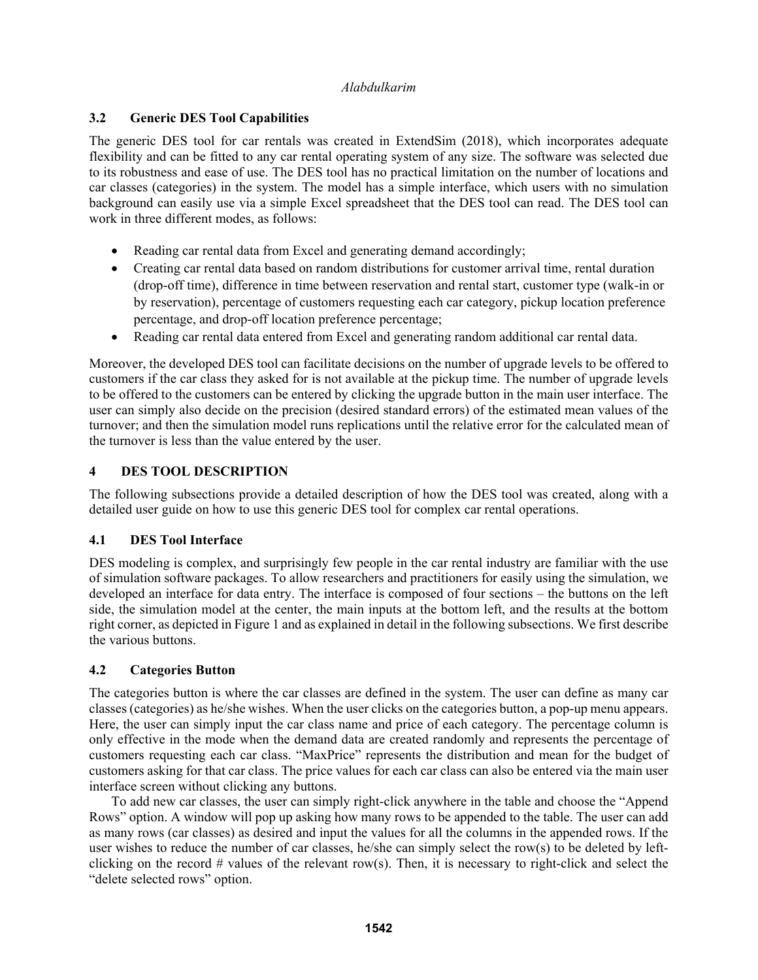# **3.2 Generic DES Tool Capabilities**

The generic DES tool for car rentals was created in ExtendSim (2018), which incorporates adequate flexibility and can be fitted to any car rental operating system of any size. The software was selected due to its robustness and ease of use. The DES tool has no practical limitation on the number of locations and car classes (categories) in the system. The model has a simple interface, which users with no simulation background can easily use via a simple Excel spreadsheet that the DES tool can read. The DES tool can work in three different modes, as follows:

- Reading car rental data from Excel and generating demand accordingly;
- Creating car rental data based on random distributions for customer arrival time, rental duration (drop-off time), difference in time between reservation and rental start, customer type (walk-in or by reservation), percentage of customers requesting each car category, pickup location preference percentage, and drop-off location preference percentage;
- Reading car rental data entered from Excel and generating random additional car rental data.

Moreover, the developed DES tool can facilitate decisions on the number of upgrade levels to be offered to customers if the car class they asked for is not available at the pickup time. The number of upgrade levels to be offered to the customers can be entered by clicking the upgrade button in the main user interface. The user can simply also decide on the precision (desired standard errors) of the estimated mean values of the turnover; and then the simulation model runs replications until the relative error for the calculated mean of the turnover is less than the value entered by the user.

# **4 DES TOOL DESCRIPTION**

The following subsections provide a detailed description of how the DES tool was created, along with a detailed user guide on how to use this generic DES tool for complex car rental operations.

# **4.1 DES Tool Interface**

DES modeling is complex, and surprisingly few people in the car rental industry are familiar with the use of simulation software packages. To allow researchers and practitioners for easily using the simulation, we developed an interface for data entry. The interface is composed of four sections – the buttons on the left side, the simulation model at the center, the main inputs at the bottom left, and the results at the bottom right corner, as depicted in Figure 1 and as explained in detail in the following subsections. We first describe the various buttons.

# **4.2 Categories Button**

The categories button is where the car classes are defined in the system. The user can define as many car classes (categories) as he/she wishes. When the user clicks on the categories button, a pop-up menu appears. Here, the user can simply input the car class name and price of each category. The percentage column is only effective in the mode when the demand data are created randomly and represents the percentage of customers requesting each car class. "MaxPrice" represents the distribution and mean for the budget of customers asking for that car class. The price values for each car class can also be entered via the main user interface screen without clicking any buttons.

 To add new car classes, the user can simply right-click anywhere in the table and choose the "Append Rows" option. A window will pop up asking how many rows to be appended to the table. The user can add as many rows (car classes) as desired and input the values for all the columns in the appended rows. If the user wishes to reduce the number of car classes, he/she can simply select the row(s) to be deleted by leftclicking on the record  $#$  values of the relevant row(s). Then, it is necessary to right-click and select the "delete selected rows" option.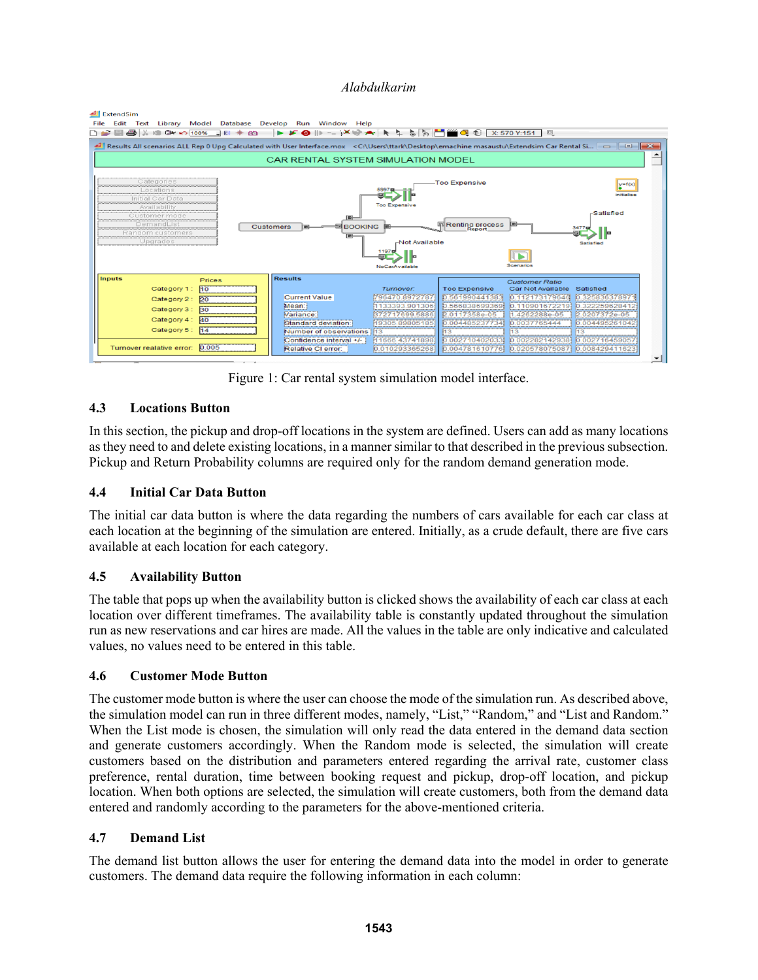#### **All** ExtendSim

|                                                                                                                                                                                                                                                                                                                                                                         | File Edit Text Library Model Database Develop Run Window Help                                                                                                                                                                                                                                                                                                                                                                                                                                                                                                                                                                                                                                                                                                                                                                                   |                  |                      |                                            |                |  |  |  |  |  |
|-------------------------------------------------------------------------------------------------------------------------------------------------------------------------------------------------------------------------------------------------------------------------------------------------------------------------------------------------------------------------|-------------------------------------------------------------------------------------------------------------------------------------------------------------------------------------------------------------------------------------------------------------------------------------------------------------------------------------------------------------------------------------------------------------------------------------------------------------------------------------------------------------------------------------------------------------------------------------------------------------------------------------------------------------------------------------------------------------------------------------------------------------------------------------------------------------------------------------------------|------------------|----------------------|--------------------------------------------|----------------|--|--|--|--|--|
| $\mathbf{F} = \mathbf{F} \mathbf{F} + \mathbf{F} \mathbf{F}$                                                                                                                                                                                                                                                                                                            | $\blacktriangleright \blacktriangleright \blacktriangleright \Theta \Vdash \negthinspace \blacktriangleright \negthinspace \blacktriangleright \negthinspace \blacktriangleright \negthinspace \blacktriangleright \negthinspace \blacktriangleright \negthinspace \blacktriangleright \negthinspace \blacktriangleright \negthinspace \blacktriangleright \negthinspace \blacktriangleright \negthinspace \blacktriangleright \negthinspace \blacktriangleright \negthinspace \blacktriangleright \negthinspace \blacktriangleright \negthinspace \blacktriangleright \negthinspace \negthinspace \negthinspace \blacktriangleright \negthinspace \negthinspace \negthinspace \negthinspace \blacktriangleright \negthinspace \negthinspace \negthinspace \negthinspace \negthinspace \negthinspace \negthinspace \negthinspace \negthinspace$ |                  |                      |                                            |                |  |  |  |  |  |
|                                                                                                                                                                                                                                                                                                                                                                         |                                                                                                                                                                                                                                                                                                                                                                                                                                                                                                                                                                                                                                                                                                                                                                                                                                                 |                  |                      |                                            |                |  |  |  |  |  |
| CAR RENTAL SYSTEM SIMULATION MODEL                                                                                                                                                                                                                                                                                                                                      |                                                                                                                                                                                                                                                                                                                                                                                                                                                                                                                                                                                                                                                                                                                                                                                                                                                 |                  |                      |                                            |                |  |  |  |  |  |
| Categories<br><b>Too Expensive</b><br>$y=f(x)$<br>Locations<br>5997 I<br>initialise<br>Initial Car Data<br><b>Too Expensive</b><br>Availability<br>-Satisfied<br>Customer mode<br>$\blacksquare$<br>Renting process<br>DemandList<br>;<br><b>BOOKING</b> E<br>Customers<br>Random customers<br>$\blacksquare$<br>Upgrades<br>-Not Available<br><b>Satisfied</b><br>1197 |                                                                                                                                                                                                                                                                                                                                                                                                                                                                                                                                                                                                                                                                                                                                                                                                                                                 |                  |                      |                                            |                |  |  |  |  |  |
|                                                                                                                                                                                                                                                                                                                                                                         |                                                                                                                                                                                                                                                                                                                                                                                                                                                                                                                                                                                                                                                                                                                                                                                                                                                 | NoCarAvailable   |                      |                                            |                |  |  |  |  |  |
| <b>Inputs</b><br><b>Prices</b>                                                                                                                                                                                                                                                                                                                                          | <b>Results</b>                                                                                                                                                                                                                                                                                                                                                                                                                                                                                                                                                                                                                                                                                                                                                                                                                                  |                  |                      |                                            |                |  |  |  |  |  |
| H <sub>0</sub><br>Category 1:                                                                                                                                                                                                                                                                                                                                           |                                                                                                                                                                                                                                                                                                                                                                                                                                                                                                                                                                                                                                                                                                                                                                                                                                                 | <b>Turnover:</b> | <b>Too Expensive</b> | <b>Customer Ratio</b><br>Car Not Available | Satisfied      |  |  |  |  |  |
|                                                                                                                                                                                                                                                                                                                                                                         | <b>Current Value</b>                                                                                                                                                                                                                                                                                                                                                                                                                                                                                                                                                                                                                                                                                                                                                                                                                            | 796470.8972787   | 0.561990441383       | 0.112173179646                             | 0.325836378971 |  |  |  |  |  |
| Category 2: 20                                                                                                                                                                                                                                                                                                                                                          | Mean:                                                                                                                                                                                                                                                                                                                                                                                                                                                                                                                                                                                                                                                                                                                                                                                                                                           | 1133393.901306   | 0.566838699369       | 0.110901672219                             | 0.322259628412 |  |  |  |  |  |
| Category 3: 30                                                                                                                                                                                                                                                                                                                                                          | Variance:                                                                                                                                                                                                                                                                                                                                                                                                                                                                                                                                                                                                                                                                                                                                                                                                                                       | 372717699.5886   | 2.0117358e-05        | 1.4262288e-05                              | 2.0207372e-05  |  |  |  |  |  |
| Category 4:<br>40                                                                                                                                                                                                                                                                                                                                                       | Standard deviation:                                                                                                                                                                                                                                                                                                                                                                                                                                                                                                                                                                                                                                                                                                                                                                                                                             | 19305 89805185   | 0.004485237734       | 0.0037765444                               | 0.004495261042 |  |  |  |  |  |
| Category 5: 14                                                                                                                                                                                                                                                                                                                                                          | Number of observations                                                                                                                                                                                                                                                                                                                                                                                                                                                                                                                                                                                                                                                                                                                                                                                                                          |                  |                      | 13.                                        |                |  |  |  |  |  |
|                                                                                                                                                                                                                                                                                                                                                                         | Confidence interval +/-                                                                                                                                                                                                                                                                                                                                                                                                                                                                                                                                                                                                                                                                                                                                                                                                                         | 11666.43741898   | 0.002710402033       | 0.002282142938                             | 0.002716459057 |  |  |  |  |  |
| 0.005<br>Turnover realative error:                                                                                                                                                                                                                                                                                                                                      | Relative CI error:                                                                                                                                                                                                                                                                                                                                                                                                                                                                                                                                                                                                                                                                                                                                                                                                                              | 0.010293365268   | 0.004781610776       | 0.020578075087                             | 0.008429411623 |  |  |  |  |  |

Figure 1: Car rental system simulation model interface.

# **4.3 Locations Button**

In this section, the pickup and drop-off locations in the system are defined. Users can add as many locations as they need to and delete existing locations, in a manner similar to that described in the previous subsection. Pickup and Return Probability columns are required only for the random demand generation mode.

# **4.4 Initial Car Data Button**

The initial car data button is where the data regarding the numbers of cars available for each car class at each location at the beginning of the simulation are entered. Initially, as a crude default, there are five cars available at each location for each category.

# **4.5 Availability Button**

The table that pops up when the availability button is clicked shows the availability of each car class at each location over different timeframes. The availability table is constantly updated throughout the simulation run as new reservations and car hires are made. All the values in the table are only indicative and calculated values, no values need to be entered in this table.

# **4.6 Customer Mode Button**

The customer mode button is where the user can choose the mode of the simulation run. As described above, the simulation model can run in three different modes, namely, "List," "Random," and "List and Random." When the List mode is chosen, the simulation will only read the data entered in the demand data section and generate customers accordingly. When the Random mode is selected, the simulation will create customers based on the distribution and parameters entered regarding the arrival rate, customer class preference, rental duration, time between booking request and pickup, drop-off location, and pickup location. When both options are selected, the simulation will create customers, both from the demand data entered and randomly according to the parameters for the above-mentioned criteria.

# **4.7 Demand List**

The demand list button allows the user for entering the demand data into the model in order to generate customers. The demand data require the following information in each column: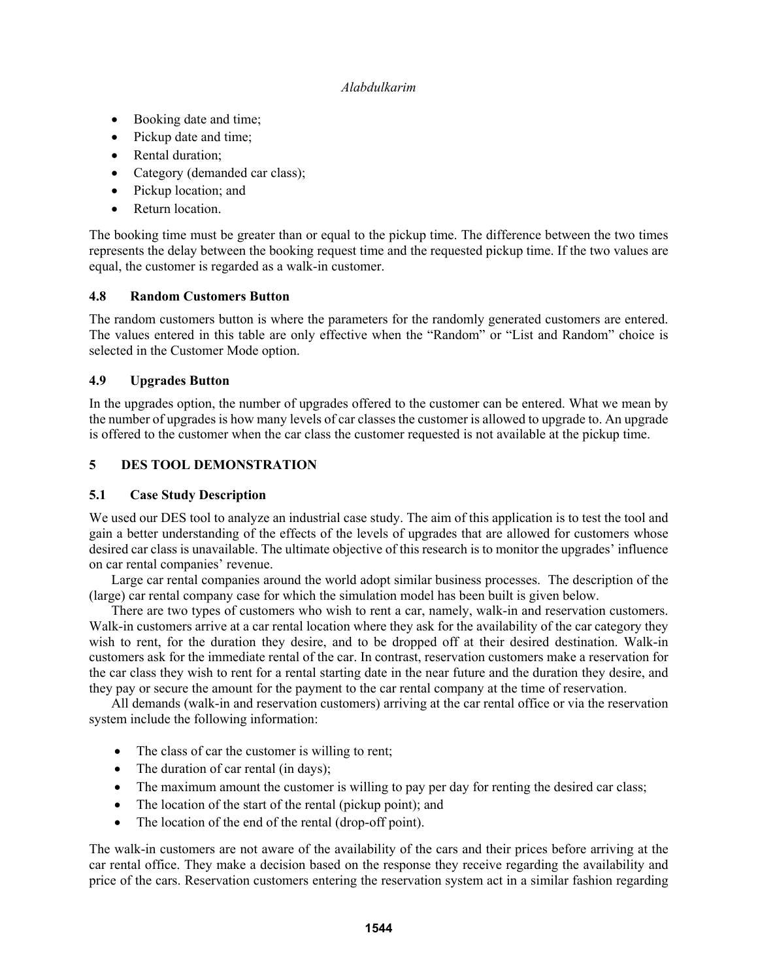- Booking date and time;
- Pickup date and time;
- Rental duration;
- Category (demanded car class);
- Pickup location; and
- Return location.

The booking time must be greater than or equal to the pickup time. The difference between the two times represents the delay between the booking request time and the requested pickup time. If the two values are equal, the customer is regarded as a walk-in customer.

# **4.8 Random Customers Button**

The random customers button is where the parameters for the randomly generated customers are entered. The values entered in this table are only effective when the "Random" or "List and Random" choice is selected in the Customer Mode option.

# **4.9 Upgrades Button**

In the upgrades option, the number of upgrades offered to the customer can be entered. What we mean by the number of upgrades is how many levels of car classes the customer is allowed to upgrade to. An upgrade is offered to the customer when the car class the customer requested is not available at the pickup time.

# **5 DES TOOL DEMONSTRATION**

# **5.1 Case Study Description**

We used our DES tool to analyze an industrial case study. The aim of this application is to test the tool and gain a better understanding of the effects of the levels of upgrades that are allowed for customers whose desired car class is unavailable. The ultimate objective of this research is to monitor the upgrades' influence on car rental companies' revenue.

 Large car rental companies around the world adopt similar business processes. The description of the (large) car rental company case for which the simulation model has been built is given below.

 There are two types of customers who wish to rent a car, namely, walk-in and reservation customers. Walk-in customers arrive at a car rental location where they ask for the availability of the car category they wish to rent, for the duration they desire, and to be dropped off at their desired destination. Walk-in customers ask for the immediate rental of the car. In contrast, reservation customers make a reservation for the car class they wish to rent for a rental starting date in the near future and the duration they desire, and they pay or secure the amount for the payment to the car rental company at the time of reservation.

 All demands (walk-in and reservation customers) arriving at the car rental office or via the reservation system include the following information:

- The class of car the customer is willing to rent;
- The duration of car rental (in days);
- The maximum amount the customer is willing to pay per day for renting the desired car class;
- The location of the start of the rental (pickup point); and
- The location of the end of the rental (drop-off point).

The walk-in customers are not aware of the availability of the cars and their prices before arriving at the car rental office. They make a decision based on the response they receive regarding the availability and price of the cars. Reservation customers entering the reservation system act in a similar fashion regarding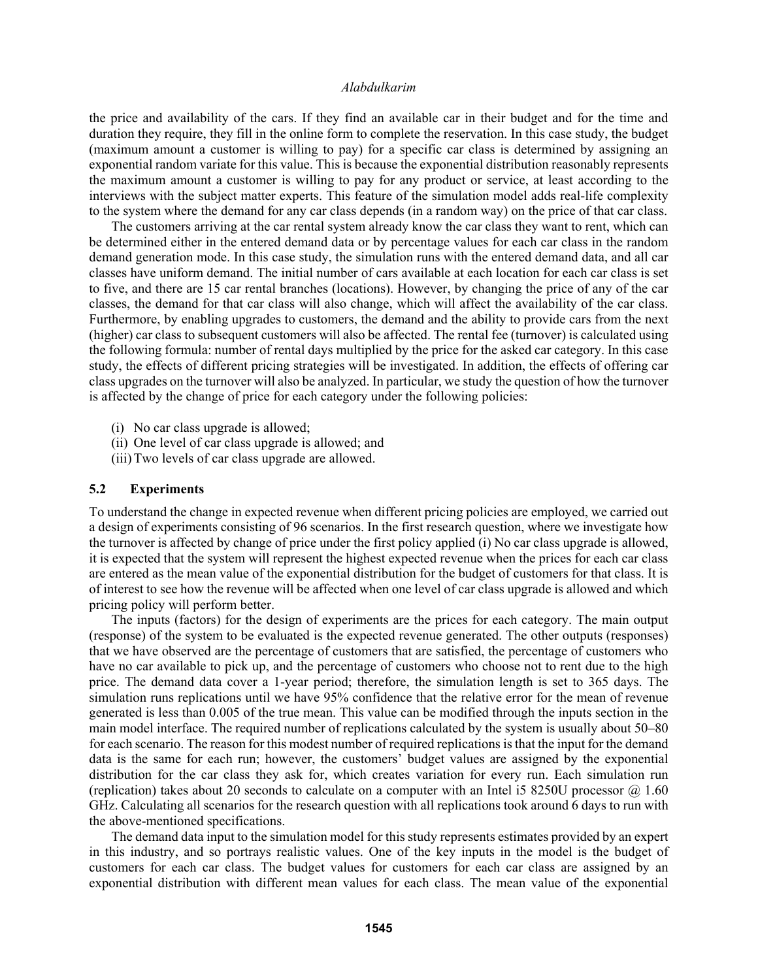the price and availability of the cars. If they find an available car in their budget and for the time and duration they require, they fill in the online form to complete the reservation. In this case study, the budget (maximum amount a customer is willing to pay) for a specific car class is determined by assigning an exponential random variate for this value. This is because the exponential distribution reasonably represents the maximum amount a customer is willing to pay for any product or service, at least according to the interviews with the subject matter experts. This feature of the simulation model adds real-life complexity to the system where the demand for any car class depends (in a random way) on the price of that car class.

 The customers arriving at the car rental system already know the car class they want to rent, which can be determined either in the entered demand data or by percentage values for each car class in the random demand generation mode. In this case study, the simulation runs with the entered demand data, and all car classes have uniform demand. The initial number of cars available at each location for each car class is set to five, and there are 15 car rental branches (locations). However, by changing the price of any of the car classes, the demand for that car class will also change, which will affect the availability of the car class. Furthermore, by enabling upgrades to customers, the demand and the ability to provide cars from the next (higher) car class to subsequent customers will also be affected. The rental fee (turnover) is calculated using the following formula: number of rental days multiplied by the price for the asked car category. In this case study, the effects of different pricing strategies will be investigated. In addition, the effects of offering car class upgrades on the turnover will also be analyzed. In particular, we study the question of how the turnover is affected by the change of price for each category under the following policies:

- (i) No car class upgrade is allowed;
- (ii) One level of car class upgrade is allowed; and
- (iii)Two levels of car class upgrade are allowed.

#### **5.2 Experiments**

To understand the change in expected revenue when different pricing policies are employed, we carried out a design of experiments consisting of 96 scenarios. In the first research question, where we investigate how the turnover is affected by change of price under the first policy applied (i) No car class upgrade is allowed, it is expected that the system will represent the highest expected revenue when the prices for each car class are entered as the mean value of the exponential distribution for the budget of customers for that class. It is of interest to see how the revenue will be affected when one level of car class upgrade is allowed and which pricing policy will perform better.

 The inputs (factors) for the design of experiments are the prices for each category. The main output (response) of the system to be evaluated is the expected revenue generated. The other outputs (responses) that we have observed are the percentage of customers that are satisfied, the percentage of customers who have no car available to pick up, and the percentage of customers who choose not to rent due to the high price. The demand data cover a 1-year period; therefore, the simulation length is set to 365 days. The simulation runs replications until we have 95% confidence that the relative error for the mean of revenue generated is less than 0.005 of the true mean. This value can be modified through the inputs section in the main model interface. The required number of replications calculated by the system is usually about 50–80 for each scenario. The reason for this modest number of required replications is that the input for the demand data is the same for each run; however, the customers' budget values are assigned by the exponential distribution for the car class they ask for, which creates variation for every run. Each simulation run (replication) takes about 20 seconds to calculate on a computer with an Intel i5 8250U processor  $@1.60$ GHz. Calculating all scenarios for the research question with all replications took around 6 days to run with the above-mentioned specifications.

 The demand data input to the simulation model for this study represents estimates provided by an expert in this industry, and so portrays realistic values. One of the key inputs in the model is the budget of customers for each car class. The budget values for customers for each car class are assigned by an exponential distribution with different mean values for each class. The mean value of the exponential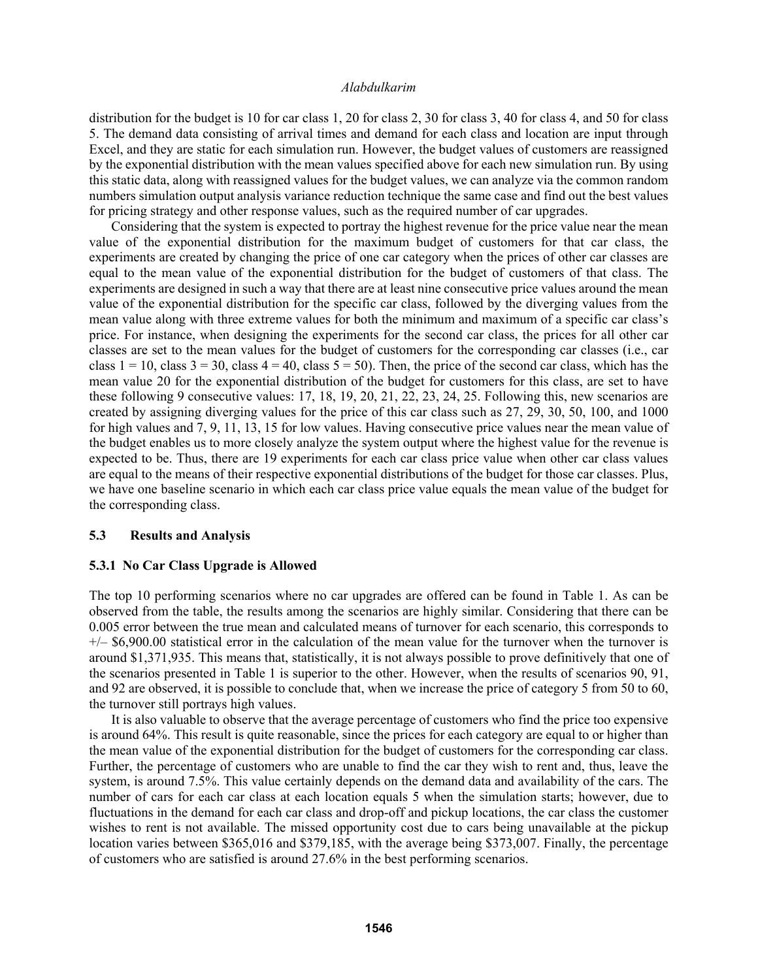distribution for the budget is 10 for car class 1, 20 for class 2, 30 for class 3, 40 for class 4, and 50 for class 5. The demand data consisting of arrival times and demand for each class and location are input through Excel, and they are static for each simulation run. However, the budget values of customers are reassigned by the exponential distribution with the mean values specified above for each new simulation run. By using this static data, along with reassigned values for the budget values, we can analyze via the common random numbers simulation output analysis variance reduction technique the same case and find out the best values for pricing strategy and other response values, such as the required number of car upgrades.

 Considering that the system is expected to portray the highest revenue for the price value near the mean value of the exponential distribution for the maximum budget of customers for that car class, the experiments are created by changing the price of one car category when the prices of other car classes are equal to the mean value of the exponential distribution for the budget of customers of that class. The experiments are designed in such a way that there are at least nine consecutive price values around the mean value of the exponential distribution for the specific car class, followed by the diverging values from the mean value along with three extreme values for both the minimum and maximum of a specific car class's price. For instance, when designing the experiments for the second car class, the prices for all other car classes are set to the mean values for the budget of customers for the corresponding car classes (i.e., car class  $1 = 10$ , class  $3 = 30$ , class  $4 = 40$ , class  $5 = 50$ ). Then, the price of the second car class, which has the mean value 20 for the exponential distribution of the budget for customers for this class, are set to have these following 9 consecutive values: 17, 18, 19, 20, 21, 22, 23, 24, 25. Following this, new scenarios are created by assigning diverging values for the price of this car class such as 27, 29, 30, 50, 100, and 1000 for high values and 7, 9, 11, 13, 15 for low values. Having consecutive price values near the mean value of the budget enables us to more closely analyze the system output where the highest value for the revenue is expected to be. Thus, there are 19 experiments for each car class price value when other car class values are equal to the means of their respective exponential distributions of the budget for those car classes. Plus, we have one baseline scenario in which each car class price value equals the mean value of the budget for the corresponding class.

#### **5.3 Results and Analysis**

#### **5.3.1 No Car Class Upgrade is Allowed**

The top 10 performing scenarios where no car upgrades are offered can be found in Table 1. As can be observed from the table, the results among the scenarios are highly similar. Considering that there can be 0.005 error between the true mean and calculated means of turnover for each scenario, this corresponds to  $+/-$  \$6,900.00 statistical error in the calculation of the mean value for the turnover when the turnover is around \$1,371,935. This means that, statistically, it is not always possible to prove definitively that one of the scenarios presented in Table 1 is superior to the other. However, when the results of scenarios 90, 91, and 92 are observed, it is possible to conclude that, when we increase the price of category 5 from 50 to 60, the turnover still portrays high values.

 It is also valuable to observe that the average percentage of customers who find the price too expensive is around 64%. This result is quite reasonable, since the prices for each category are equal to or higher than the mean value of the exponential distribution for the budget of customers for the corresponding car class. Further, the percentage of customers who are unable to find the car they wish to rent and, thus, leave the system, is around 7.5%. This value certainly depends on the demand data and availability of the cars. The number of cars for each car class at each location equals 5 when the simulation starts; however, due to fluctuations in the demand for each car class and drop-off and pickup locations, the car class the customer wishes to rent is not available. The missed opportunity cost due to cars being unavailable at the pickup location varies between \$365,016 and \$379,185, with the average being \$373,007. Finally, the percentage of customers who are satisfied is around 27.6% in the best performing scenarios.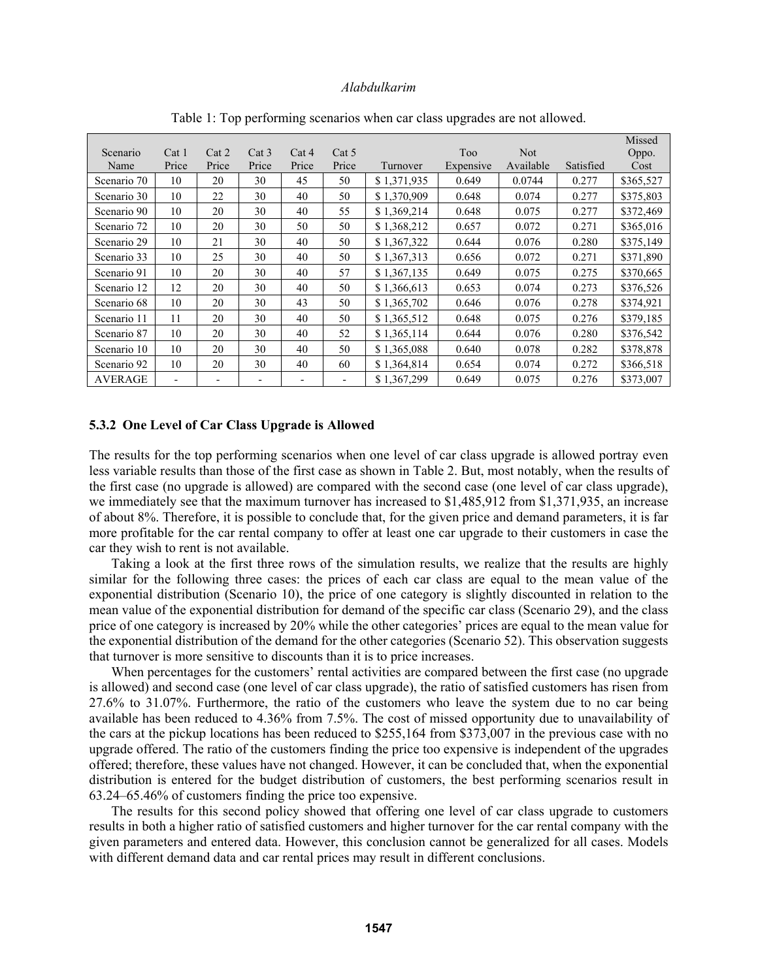|                |                              |       |       |       |       |             |            |            |           | Missed    |
|----------------|------------------------------|-------|-------|-------|-------|-------------|------------|------------|-----------|-----------|
| Scenario       | Cat <sub>1</sub>             | Cat 2 | Cat 3 | Cat 4 | Cat 5 |             | <b>Too</b> | <b>Not</b> |           | Oppo.     |
| Name           | Price                        | Price | Price | Price | Price | Turnover    | Expensive  | Available  | Satisfied | Cost      |
| Scenario 70    | 10                           | 20    | 30    | 45    | 50    | \$1,371,935 | 0.649      | 0.0744     | 0.277     | \$365,527 |
| Scenario 30    | 10                           | 22    | 30    | 40    | 50    | \$1,370,909 | 0.648      | 0.074      | 0.277     | \$375,803 |
| Scenario 90    | 10                           | 20    | 30    | 40    | 55    | \$1,369,214 | 0.648      | 0.075      | 0.277     | \$372,469 |
| Scenario 72    | 10                           | 20    | 30    | 50    | 50    | \$1,368,212 | 0.657      | 0.072      | 0.271     | \$365,016 |
| Scenario 29    | 10                           | 21    | 30    | 40    | 50    | \$1,367,322 | 0.644      | 0.076      | 0.280     | \$375,149 |
| Scenario 33    | 10                           | 25    | 30    | 40    | 50    | \$1,367,313 | 0.656      | 0.072      | 0.271     | \$371,890 |
| Scenario 91    | 10                           | 20    | 30    | 40    | 57    | \$1,367,135 | 0.649      | 0.075      | 0.275     | \$370,665 |
| Scenario 12    | 12                           | 20    | 30    | 40    | 50    | \$1,366,613 | 0.653      | 0.074      | 0.273     | \$376,526 |
| Scenario 68    | 10                           | 20    | 30    | 43    | 50    | \$1,365,702 | 0.646      | 0.076      | 0.278     | \$374,921 |
| Scenario 11    | 11                           | 20    | 30    | 40    | 50    | \$1,365,512 | 0.648      | 0.075      | 0.276     | \$379,185 |
| Scenario 87    | 10                           | 20    | 30    | 40    | 52    | \$1,365,114 | 0.644      | 0.076      | 0.280     | \$376,542 |
| Scenario 10    | 10                           | 20    | 30    | 40    | 50    | \$1,365,088 | 0.640      | 0.078      | 0.282     | \$378,878 |
| Scenario 92    | 10                           | 20    | 30    | 40    | 60    | \$1,364,814 | 0.654      | 0.074      | 0.272     | \$366,518 |
| <b>AVERAGE</b> | $\qquad \qquad \blacksquare$ |       |       |       |       | \$1,367,299 | 0.649      | 0.075      | 0.276     | \$373,007 |

Table 1: Top performing scenarios when car class upgrades are not allowed.

#### **5.3.2 One Level of Car Class Upgrade is Allowed**

The results for the top performing scenarios when one level of car class upgrade is allowed portray even less variable results than those of the first case as shown in Table 2. But, most notably, when the results of the first case (no upgrade is allowed) are compared with the second case (one level of car class upgrade), we immediately see that the maximum turnover has increased to \$1,485,912 from \$1,371,935, an increase of about 8%. Therefore, it is possible to conclude that, for the given price and demand parameters, it is far more profitable for the car rental company to offer at least one car upgrade to their customers in case the car they wish to rent is not available.

 Taking a look at the first three rows of the simulation results, we realize that the results are highly similar for the following three cases: the prices of each car class are equal to the mean value of the exponential distribution (Scenario 10), the price of one category is slightly discounted in relation to the mean value of the exponential distribution for demand of the specific car class (Scenario 29), and the class price of one category is increased by 20% while the other categories' prices are equal to the mean value for the exponential distribution of the demand for the other categories (Scenario 52). This observation suggests that turnover is more sensitive to discounts than it is to price increases.

 When percentages for the customers' rental activities are compared between the first case (no upgrade is allowed) and second case (one level of car class upgrade), the ratio of satisfied customers has risen from 27.6% to 31.07%. Furthermore, the ratio of the customers who leave the system due to no car being available has been reduced to 4.36% from 7.5%. The cost of missed opportunity due to unavailability of the cars at the pickup locations has been reduced to \$255,164 from \$373,007 in the previous case with no upgrade offered. The ratio of the customers finding the price too expensive is independent of the upgrades offered; therefore, these values have not changed. However, it can be concluded that, when the exponential distribution is entered for the budget distribution of customers, the best performing scenarios result in 63.24–65.46% of customers finding the price too expensive.

 The results for this second policy showed that offering one level of car class upgrade to customers results in both a higher ratio of satisfied customers and higher turnover for the car rental company with the given parameters and entered data. However, this conclusion cannot be generalized for all cases. Models with different demand data and car rental prices may result in different conclusions.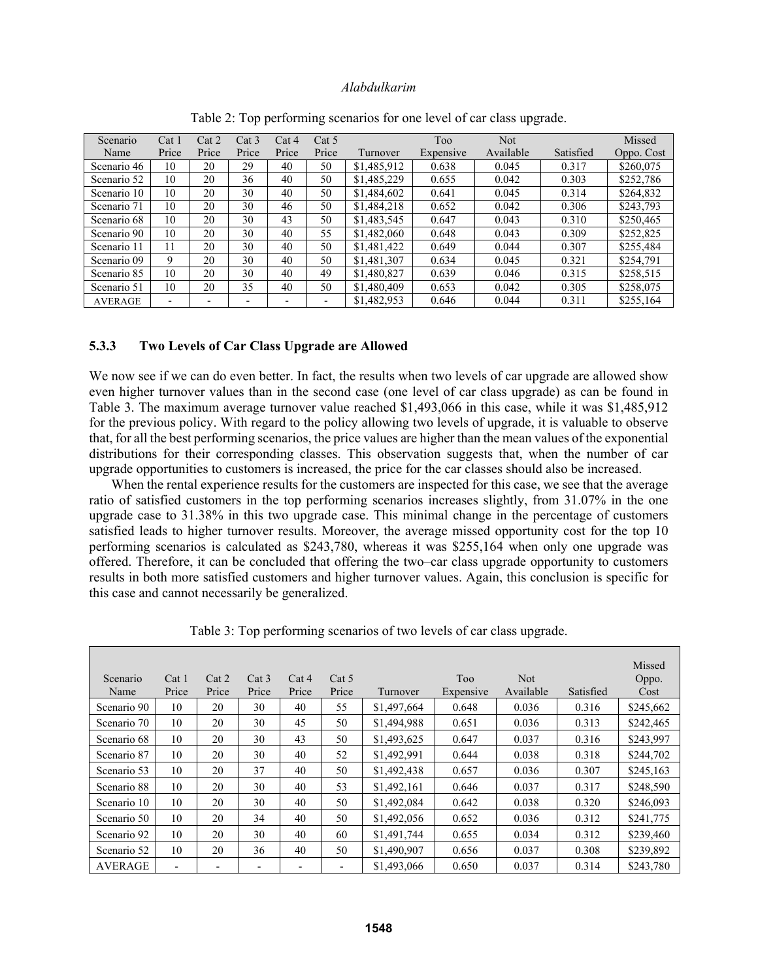| Scenario       | Cat <sub>1</sub> | Cat 2 | Cat 3                    | Cat 4                    | Cat 5                    |             | Too       | Not       |           | Missed     |
|----------------|------------------|-------|--------------------------|--------------------------|--------------------------|-------------|-----------|-----------|-----------|------------|
| Name           | Price            | Price | Price                    | Price                    | Price                    | Turnover    | Expensive | Available | Satisfied | Oppo. Cost |
| Scenario 46    | 10               | 20    | 29                       | 40                       | 50                       | \$1,485,912 | 0.638     | 0.045     | 0.317     | \$260,075  |
| Scenario 52    | 10               | 20    | 36                       | 40                       | 50                       | \$1,485,229 | 0.655     | 0.042     | 0.303     | \$252,786  |
| Scenario 10    | 10               | 20    | 30                       | 40                       | 50                       | \$1,484,602 | 0.641     | 0.045     | 0.314     | \$264,832  |
| Scenario 71    | 10               | 20    | 30                       | 46                       | 50                       | \$1,484,218 | 0.652     | 0.042     | 0.306     | \$243,793  |
| Scenario 68    | 10               | 20    | 30                       | 43                       | 50                       | \$1,483,545 | 0.647     | 0.043     | 0.310     | \$250,465  |
| Scenario 90    | 10               | 20    | 30                       | 40                       | 55                       | \$1,482,060 | 0.648     | 0.043     | 0.309     | \$252,825  |
| Scenario 11    |                  | 20    | 30                       | 40                       | 50                       | \$1,481,422 | 0.649     | 0.044     | 0.307     | \$255,484  |
| Scenario 09    | 9                | 20    | 30                       | 40                       | 50                       | \$1,481,307 | 0.634     | 0.045     | 0.321     | \$254.791  |
| Scenario 85    | 10               | 20    | 30                       | 40                       | 49                       | \$1,480,827 | 0.639     | 0.046     | 0.315     | \$258,515  |
| Scenario 51    | 10               | 20    | 35                       | 40                       | 50                       | \$1,480,409 | 0.653     | 0.042     | 0.305     | \$258,075  |
| <b>AVERAGE</b> | -                |       | $\overline{\phantom{0}}$ | $\overline{\phantom{0}}$ | $\overline{\phantom{a}}$ | \$1,482,953 | 0.646     | 0.044     | 0.311     | \$255,164  |

Table 2: Top performing scenarios for one level of car class upgrade.

#### **5.3.3 Two Levels of Car Class Upgrade are Allowed**

We now see if we can do even better. In fact, the results when two levels of car upgrade are allowed show even higher turnover values than in the second case (one level of car class upgrade) as can be found in Table 3. The maximum average turnover value reached \$1,493,066 in this case, while it was \$1,485,912 for the previous policy. With regard to the policy allowing two levels of upgrade, it is valuable to observe that, for all the best performing scenarios, the price values are higher than the mean values of the exponential distributions for their corresponding classes. This observation suggests that, when the number of car upgrade opportunities to customers is increased, the price for the car classes should also be increased.

 When the rental experience results for the customers are inspected for this case, we see that the average ratio of satisfied customers in the top performing scenarios increases slightly, from 31.07% in the one upgrade case to 31.38% in this two upgrade case. This minimal change in the percentage of customers satisfied leads to higher turnover results. Moreover, the average missed opportunity cost for the top 10 performing scenarios is calculated as \$243,780, whereas it was \$255,164 when only one upgrade was offered. Therefore, it can be concluded that offering the two–car class upgrade opportunity to customers results in both more satisfied customers and higher turnover values. Again, this conclusion is specific for this case and cannot necessarily be generalized.

| Scenario<br>Name | Cat <sub>1</sub><br>Price | Cat 2<br>Price           | Cat 3<br>Price | Cat 4<br>Price | Cat 5<br>Price | Turnover    | Too<br>Expensive | <b>Not</b><br>Available | Satisfied | Missed<br>Oppo.<br>Cost |
|------------------|---------------------------|--------------------------|----------------|----------------|----------------|-------------|------------------|-------------------------|-----------|-------------------------|
| Scenario 90      | 10                        | 20                       | 30             | 40             | 55             | \$1,497,664 | 0.648            | 0.036                   | 0.316     | \$245,662               |
| Scenario 70      | 10                        | 20                       | 30             | 45             | 50             | \$1,494,988 | 0.651            | 0.036                   | 0.313     | \$242,465               |
| Scenario 68      | 10                        | 20                       | 30             | 43             | 50             | \$1,493,625 | 0.647            | 0.037                   | 0.316     | \$243,997               |
| Scenario 87      | 10                        | 20                       | 30             | 40             | 52             | \$1,492,991 | 0.644            | 0.038                   | 0.318     | \$244,702               |
| Scenario 53      | 10                        | 20                       | 37             | 40             | 50             | \$1,492,438 | 0.657            | 0.036                   | 0.307     | \$245,163               |
| Scenario 88      | 10                        | 20                       | 30             | 40             | 53             | \$1,492,161 | 0.646            | 0.037                   | 0.317     | \$248,590               |
| Scenario 10      | 10                        | 20                       | 30             | 40             | 50             | \$1,492,084 | 0.642            | 0.038                   | 0.320     | \$246,093               |
| Scenario 50      | 10                        | 20                       | 34             | 40             | 50             | \$1,492,056 | 0.652            | 0.036                   | 0.312     | \$241,775               |
| Scenario 92      | 10                        | 20                       | 30             | 40             | 60             | \$1,491,744 | 0.655            | 0.034                   | 0.312     | \$239,460               |
| Scenario 52      | 10                        | 20                       | 36             | 40             | 50             | \$1,490,907 | 0.656            | 0.037                   | 0.308     | \$239,892               |
| <b>AVERAGE</b>   | $\overline{\phantom{a}}$  | $\overline{\phantom{0}}$ |                |                |                | \$1,493,066 | 0.650            | 0.037                   | 0.314     | \$243.780               |

Table 3: Top performing scenarios of two levels of car class upgrade.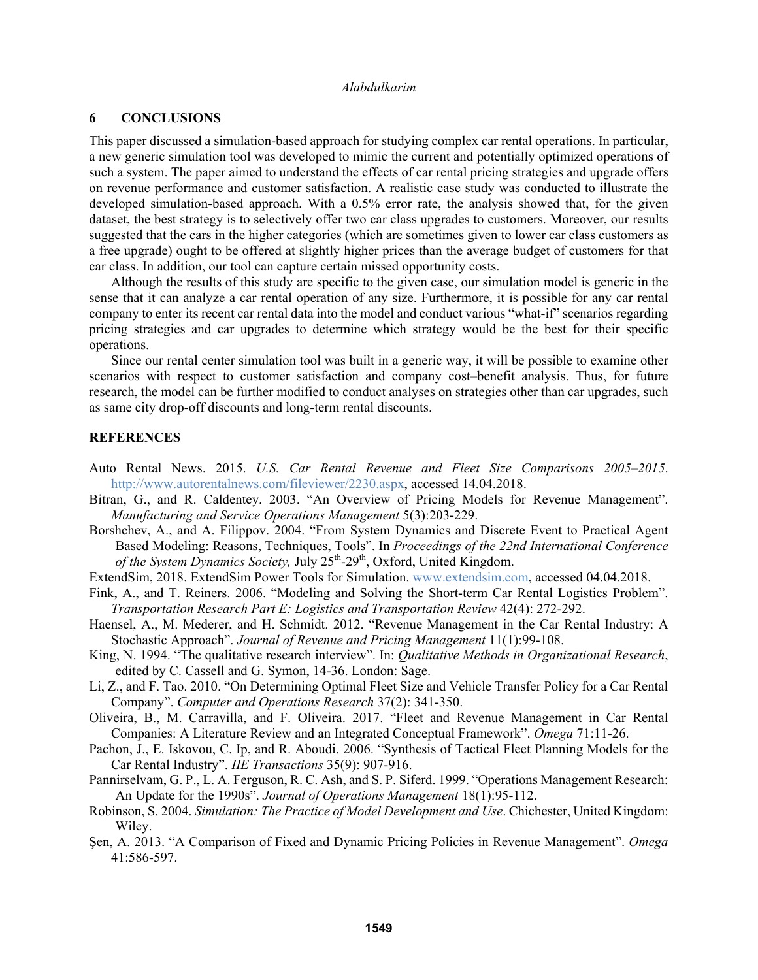### **6 CONCLUSIONS**

This paper discussed a simulation-based approach for studying complex car rental operations. In particular, a new generic simulation tool was developed to mimic the current and potentially optimized operations of such a system. The paper aimed to understand the effects of car rental pricing strategies and upgrade offers on revenue performance and customer satisfaction. A realistic case study was conducted to illustrate the developed simulation-based approach. With a 0.5% error rate, the analysis showed that, for the given dataset, the best strategy is to selectively offer two car class upgrades to customers. Moreover, our results suggested that the cars in the higher categories (which are sometimes given to lower car class customers as a free upgrade) ought to be offered at slightly higher prices than the average budget of customers for that car class. In addition, our tool can capture certain missed opportunity costs.

Although the results of this study are specific to the given case, our simulation model is generic in the sense that it can analyze a car rental operation of any size. Furthermore, it is possible for any car rental company to enter its recent car rental data into the model and conduct various "what-if" scenarios regarding pricing strategies and car upgrades to determine which strategy would be the best for their specific operations.

Since our rental center simulation tool was built in a generic way, it will be possible to examine other scenarios with respect to customer satisfaction and company cost–benefit analysis. Thus, for future research, the model can be further modified to conduct analyses on strategies other than car upgrades, such as same city drop-off discounts and long-term rental discounts.

#### **REFERENCES**

- Auto Rental News. 2015. *U.S. Car Rental Revenue and Fleet Size Comparisons 2005–2015*. http://www.autorentalnews.com/fileviewer/2230.aspx, accessed 14.04.2018.
- Bitran, G., and R. Caldentey. 2003. "An Overview of Pricing Models for Revenue Management". *Manufacturing and Service Operations Management* 5(3):203-229.
- Borshchev, A., and A. Filippov. 2004. "From System Dynamics and Discrete Event to Practical Agent Based Modeling: Reasons, Techniques, Tools". In *Proceedings of the 22nd International Conference*  of the System Dynamics Society, July 25<sup>th</sup>-29<sup>th</sup>, Oxford, United Kingdom.
- ExtendSim, 2018. ExtendSim Power Tools for Simulation. www.extendsim.com, accessed 04.04.2018.
- Fink, A., and T. Reiners. 2006. "Modeling and Solving the Short-term Car Rental Logistics Problem". *Transportation Research Part E: Logistics and Transportation Review* 42(4): 272-292.
- Haensel, A., M. Mederer, and H. Schmidt. 2012. "Revenue Management in the Car Rental Industry: A Stochastic Approach". *Journal of Revenue and Pricing Management* 11(1):99-108.
- King, N. 1994. "The qualitative research interview". In: *Qualitative Methods in Organizational Research*, edited by C. Cassell and G. Symon, 14-36. London: Sage.
- Li, Z., and F. Tao. 2010. "On Determining Optimal Fleet Size and Vehicle Transfer Policy for a Car Rental Company". *Computer and Operations Research* 37(2): 341-350.
- Oliveira, B., M. Carravilla, and F. Oliveira. 2017. "Fleet and Revenue Management in Car Rental Companies: A Literature Review and an Integrated Conceptual Framework". *Omega* 71:11-26.
- Pachon, J., E. Iskovou, C. Ip, and R. Aboudi. 2006. "Synthesis of Tactical Fleet Planning Models for the Car Rental Industry". *IIE Transactions* 35(9): 907-916.
- Pannirselvam, G. P., L. A. Ferguson, R. C. Ash, and S. P. Siferd. 1999. "Operations Management Research: An Update for the 1990s". *Journal of Operations Management* 18(1):95-112.
- Robinson, S. 2004. *Simulation: The Practice of Model Development and Use*. Chichester, United Kingdom: Wiley.
- Şen, A. 2013. "A Comparison of Fixed and Dynamic Pricing Policies in Revenue Management". *Omega* 41:586-597.